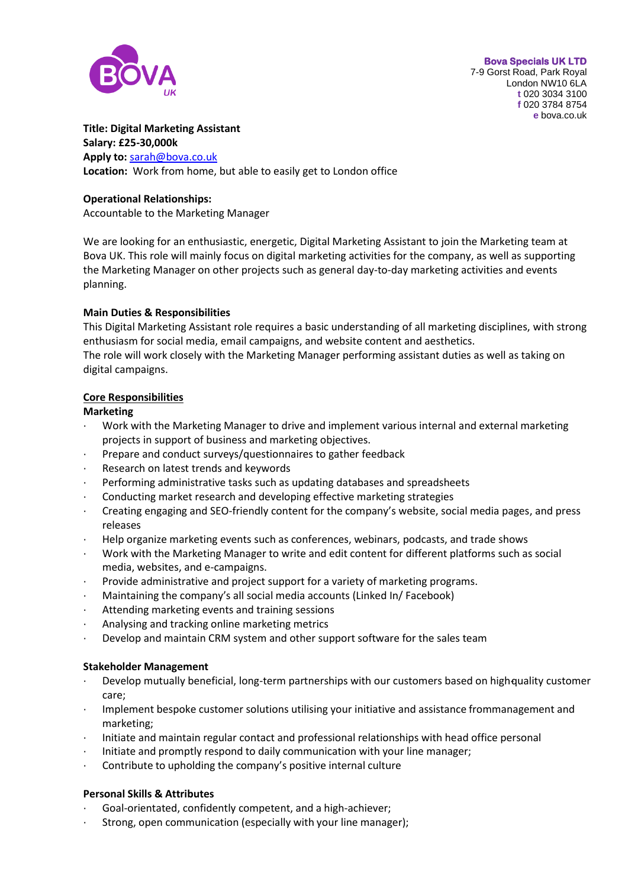

#### **Title: Digital Marketing Assistant**

**Salary: £25-30,000k Apply to:** [sarah@bova.co.uk](mailto:sarah@bova.co.uk) **Location:** Work from home, but able to easily get to London office

### **Operational Relationships:**

Accountable to the Marketing Manager

We are looking for an enthusiastic, energetic, Digital Marketing Assistant to join the Marketing team at Bova UK. This role will mainly focus on digital marketing activities for the company, as well as supporting the Marketing Manager on other projects such as general day-to-day marketing activities and events planning.

# **Main Duties & Responsibilities**

This Digital Marketing Assistant role requires a basic understanding of all marketing disciplines, with strong enthusiasm for social media, email campaigns, and website content and aesthetics.

The role will work closely with the Marketing Manager performing assistant duties as well as taking on digital campaigns.

## **Core Responsibilities**

## **Marketing**

- · Work with the Marketing Manager to drive and implement various internal and external marketing projects in support of business and marketing objectives.
- Prepare and conduct surveys/questionnaires to gather feedback
- Research on latest trends and keywords
- · Performing administrative tasks such as updating databases and spreadsheets
- · Conducting market research and developing effective marketing strategies
- · Creating engaging and SEO-friendly content for the company's website, social media pages, and press releases
- · Help organize marketing events such as conferences, webinars, podcasts, and trade shows
- · Work with the Marketing Manager to write and edit content for different platforms such as social media, websites, and e-campaigns.
- Provide administrative and project support for a variety of marketing programs.
- Maintaining the company's all social media accounts (Linked In/ Facebook)
- Attending marketing events and training sessions
- · Analysing and tracking online marketing metrics
- Develop and maintain CRM system and other support software for the sales team

### **Stakeholder Management**

- Develop mutually beneficial, long-term partnerships with our customers based on high-quality customer care;
- · Implement bespoke customer solutions utilising your initiative and assistance frommanagement and marketing;
- · Initiate and maintain regular contact and professional relationships with head office personal
- · Initiate and promptly respond to daily communication with your line manager;
- · Contribute to upholding the company's positive internal culture

### **Personal Skills & Attributes**

- Goal-orientated, confidently competent, and a high-achiever;
- Strong, open communication (especially with your line manager);